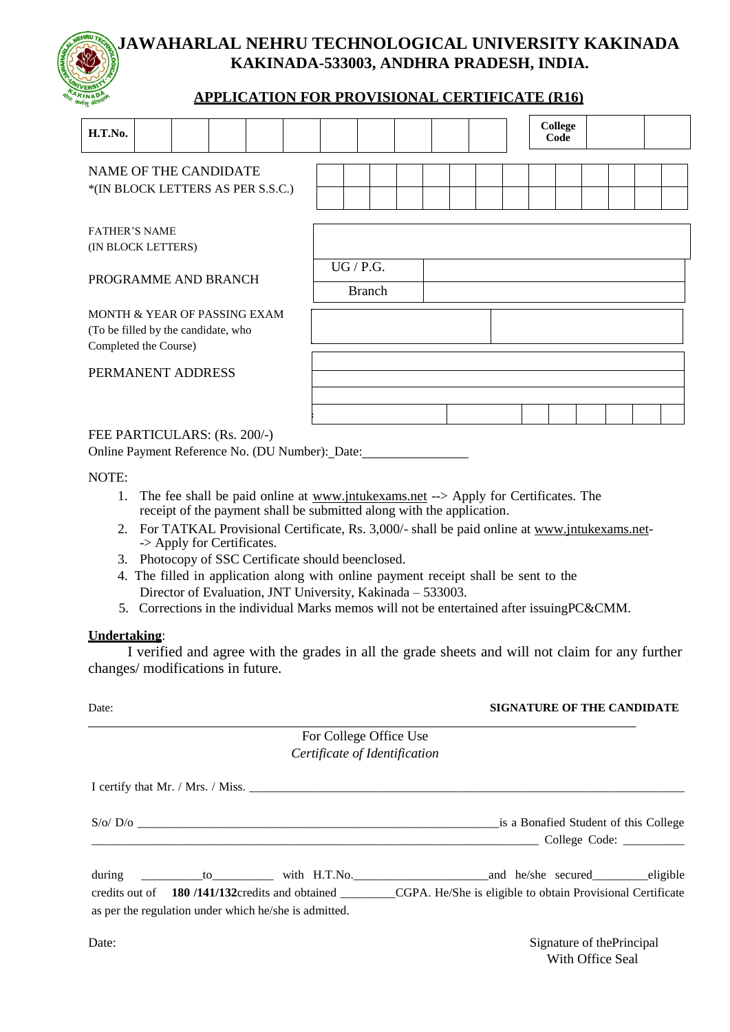# **JAWAHARLAL NEHRU TECHNOLOGICAL UNIVERSITY KAKINADA KAKINADA-533003, ANDHRA PRADESH, INDIA.**

# **APPLICATION FOR PROVISIONAL CERTIFICATE (R16)**

| H.T.No.                                                                                      |  |  |  |  |                            |  |  |  |  | <b>College</b><br>Code |  |  |
|----------------------------------------------------------------------------------------------|--|--|--|--|----------------------------|--|--|--|--|------------------------|--|--|
| NAME OF THE CANDIDATE<br>*(IN BLOCK LETTERS AS PER S.S.C.)                                   |  |  |  |  |                            |  |  |  |  |                        |  |  |
| <b>FATHER'S NAME</b><br>(IN BLOCK LETTERS)                                                   |  |  |  |  |                            |  |  |  |  |                        |  |  |
| PROGRAMME AND BRANCH                                                                         |  |  |  |  | UG / P.G.<br><b>Branch</b> |  |  |  |  |                        |  |  |
| MONTH & YEAR OF PASSING EXAM<br>(To be filled by the candidate, who<br>Completed the Course) |  |  |  |  |                            |  |  |  |  |                        |  |  |
| PERMANENT ADDRESS                                                                            |  |  |  |  |                            |  |  |  |  |                        |  |  |
|                                                                                              |  |  |  |  |                            |  |  |  |  |                        |  |  |

## FEE PARTICULARS: (Rs. 200/-)

Online Payment Reference No. (DU Number): Date:

NOTE:

- 1. The fee shall be paid online at [www.jntukexams.net](http://www.jntukexams.net/) --> Apply for Certificates. The receipt of the payment shall be submitted along with the application.
- 2. For TATKAL Provisional Certificate, Rs. 3,000/- shall be paid online at [www.jntukexams.net-](http://www.jntukexams.net/) -> Apply for Certificates.
- 3. Photocopy of SSC Certificate should beenclosed.
- 4. The filled in application along with online payment receipt shall be sent to the Director of Evaluation, JNT University, Kakinada – 533003.
- 5. Corrections in the individual Marks memos will not be entertained after issuingPC&CMM.

### **Undertaking**:

I verified and agree with the grades in all the grade sheets and will not claim for any further changes/ modifications in future.

| Date:                                                 | <b>SIGNATURE OF THE CANDIDATE</b>                                                                          |
|-------------------------------------------------------|------------------------------------------------------------------------------------------------------------|
| For College Office Use                                |                                                                                                            |
| Certificate of Identification                         |                                                                                                            |
|                                                       |                                                                                                            |
|                                                       | is a Bonafied Student of this College                                                                      |
|                                                       |                                                                                                            |
| during                                                | to with H.T.No. and he/she secured eligible                                                                |
|                                                       | credits out of 180/141/132 credits and obtained CGPA. He/She is eligible to obtain Provisional Certificate |
| as per the regulation under which he/she is admitted. |                                                                                                            |

Date: Signature of the Principal With Office Seal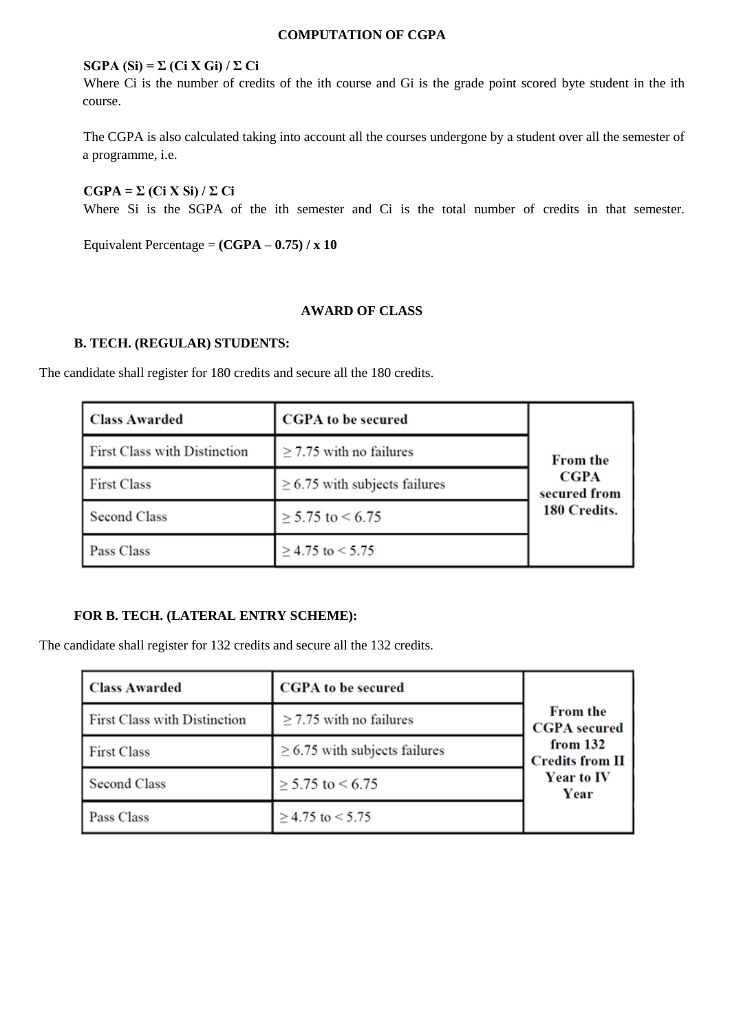## **COMPUTATION OF CGPA**

### $SGPA(Si) = \sum (Ci X Gi) / \sum Ci$

Where Ci is the number of credits of the ith course and Gi is the grade point scored byte student in the ith course.

The CGPA is also calculated taking into account all the courses undergone by a student over all the semester of a programme, i.e.

 $CGPA = \Sigma (Ci X Si) / \Sigma Ci$ Where Si is the SGPA of the ith semester and Ci is the total number of credits in that semester.

Equivalent Percentage = **(CGPA – 0.75) / x 10**

#### **AWARD OF CLASS**

# **B. TECH. (REGULAR) STUDENTS:**

The candidate shall register for 180 credits and secure all the 180 credits.

| <b>Class Awarded</b>                | <b>CGPA</b> to be secured          |                             |
|-------------------------------------|------------------------------------|-----------------------------|
| <b>First Class with Distinction</b> | $\geq$ 7.75 with no failures       | <b>From the</b>             |
| <b>First Class</b>                  | $\geq$ 6.75 with subjects failures | <b>CGPA</b><br>secured from |
| Second Class                        | $\geq$ 5.75 to < 6.75              | 180 Credits.                |
| Pass Class                          | $\geq$ 4.75 to < 5.75              |                             |

### **FOR B. TECH. (LATERAL ENTRY SCHEME):**

The candidate shall register for 132 credits and secure all the 132 credits.

| Class Awarded                       | <b>CGPA</b> to be secured          | <b>From the</b>                    |  |  |  |  |  |
|-------------------------------------|------------------------------------|------------------------------------|--|--|--|--|--|
| <b>First Class with Distinction</b> | $\geq$ 7.75 with no failures       | <b>CGPA</b> secured                |  |  |  |  |  |
| <b>First Class</b>                  | $\geq$ 6.75 with subjects failures | from 132<br><b>Credits from II</b> |  |  |  |  |  |
| Second Class                        | $\geq$ 5.75 to < 6.75              | Year to IV<br>Year                 |  |  |  |  |  |
| <b>Pass Class</b>                   | $\geq$ 4.75 to < 5.75              |                                    |  |  |  |  |  |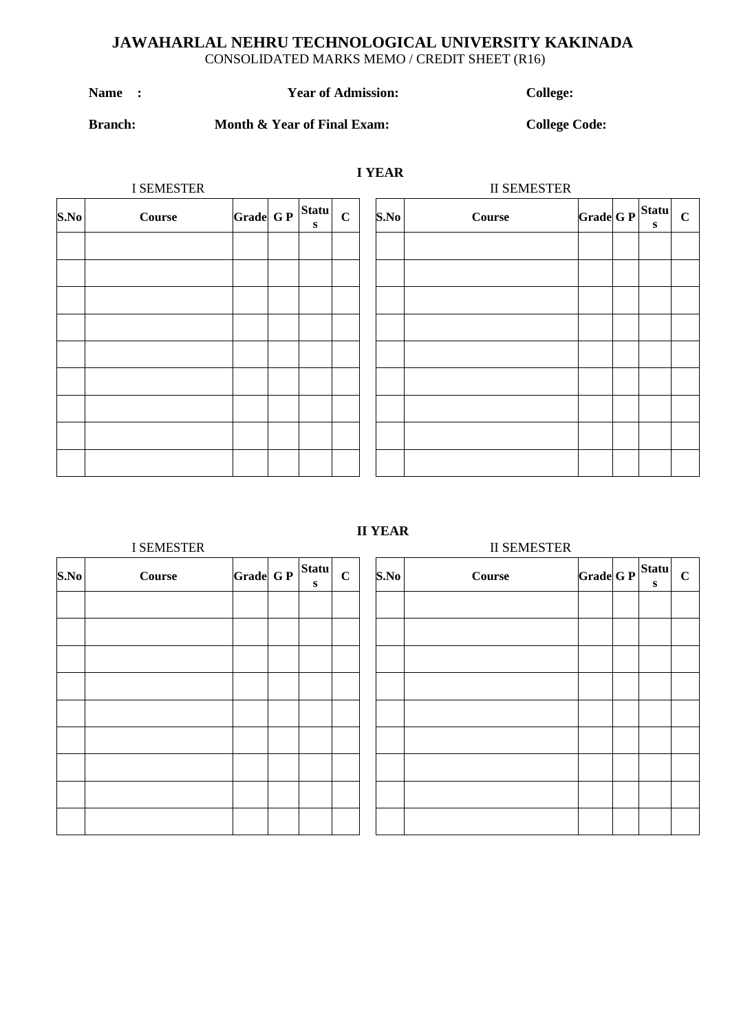# **JAWAHARLAL NEHRU TECHNOLOGICAL UNIVERSITY KAKINADA** CONSOLIDATED MARKS MEMO / CREDIT SHEET (R16)

**I YEAR**

| <b>Name</b><br><b>Year of Admission:</b> |
|------------------------------------------|
|------------------------------------------|

 $\text{Collect:}$ 

# **Branch: Month & Year of Final Exam: College Code:**

**C**

|      | I SEMESTER |                       |              | <b>II SEMESTER</b> |      |               |                    |  |   |  |  |
|------|------------|-----------------------|--------------|--------------------|------|---------------|--------------------|--|---|--|--|
| S.No | Course     | $ Grade  G P  $ Statu | $\mathbf{s}$ | $\mathbf C$        | S.No | <b>Course</b> | $ Grade G P$ Statu |  | S |  |  |
|      |            |                       |              |                    |      |               |                    |  |   |  |  |
|      |            |                       |              |                    |      |               |                    |  |   |  |  |
|      |            |                       |              |                    |      |               |                    |  |   |  |  |
|      |            |                       |              |                    |      |               |                    |  |   |  |  |
|      |            |                       |              |                    |      |               |                    |  |   |  |  |
|      |            |                       |              |                    |      |               |                    |  |   |  |  |
|      |            |                       |              |                    |      |               |                    |  |   |  |  |
|      |            |                       |              |                    |      |               |                    |  |   |  |  |
|      |            |                       |              |                    |      |               |                    |  |   |  |  |

# **II YEAR**

|      | <b>I SEMESTER</b> |          |  |                           |             |  |      | <b>II SEMESTER</b> |  |  |  |  |
|------|-------------------|----------|--|---------------------------|-------------|--|------|--------------------|--|--|--|--|
| S.No | <b>Course</b>     | Grade GP |  | <b>Statu</b><br>${\bf s}$ | $\mathbf C$ |  | S.No | <b>Course</b>      |  |  |  |  |
|      |                   |          |  |                           |             |  |      |                    |  |  |  |  |
|      |                   |          |  |                           |             |  |      |                    |  |  |  |  |
|      |                   |          |  |                           |             |  |      |                    |  |  |  |  |
|      |                   |          |  |                           |             |  |      |                    |  |  |  |  |
|      |                   |          |  |                           |             |  |      |                    |  |  |  |  |
|      |                   |          |  |                           |             |  |      |                    |  |  |  |  |
|      |                   |          |  |                           |             |  |      |                    |  |  |  |  |
|      |                   |          |  |                           |             |  |      |                    |  |  |  |  |
|      |                   |          |  |                           |             |  |      |                    |  |  |  |  |

| S.No | <b>Course</b> | $\left \text{Grade}\right $ G $\left \text{F}\right $ Statu | $\bf S$ | $\mathbf C$ |
|------|---------------|-------------------------------------------------------------|---------|-------------|
|      |               |                                                             |         |             |
|      |               |                                                             |         |             |
|      |               |                                                             |         |             |
|      |               |                                                             |         |             |
|      |               |                                                             |         |             |
|      |               |                                                             |         |             |
|      |               |                                                             |         |             |
|      |               |                                                             |         |             |
|      |               |                                                             |         |             |